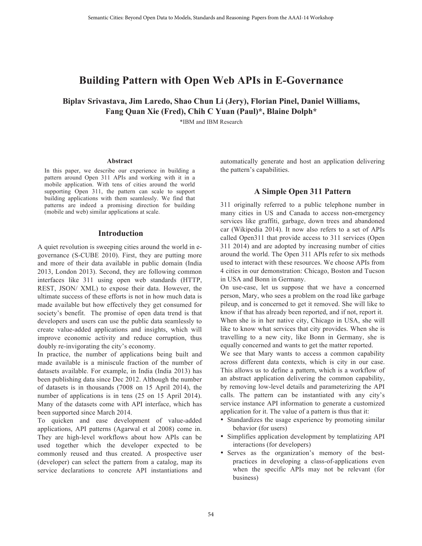# **Building Pattern with Open Web APIs in E-Governance**

**Biplav Srivastava, Jim Laredo, Shao Chun Li (Jery), Florian Pinel, Daniel Williams, Fang Quan Xie (Fred), Chih C Yuan (Paul)\*, Blaine Dolph\*** 

\*IBM and IBM Research

#### **Abstract**

In this paper, we describe our experience in building a pattern around Open 311 APIs and working with it in a mobile application. With tens of cities around the world supporting Open 311, the pattern can scale to support building applications with them seamlessly. We find that patterns are indeed a promising direction for building (mobile and web) similar applications at scale.

#### **Introduction**

A quiet revolution is sweeping cities around the world in egovernance (S-CUBE 2010). First, they are putting more and more of their data available in public domain (India 2013, London 2013). Second, they are following common interfaces like 311 using open web standards (HTTP, REST, JSON/ XML) to expose their data. However, the ultimate success of these efforts is not in how much data is made available but how effectively they get consumed for society's benefit. The promise of open data trend is that developers and users can use the public data seamlessly to create value-added applications and insights, which will improve economic activity and reduce corruption, thus doubly re-invigorating the city's economy.

In practice, the number of applications being built and made available is a miniscule fraction of the number of datasets available. For example, in India (India 2013) has been publishing data since Dec 2012. Although the number of datasets is in thousands (7008 on 15 April 2014), the number of applications is in tens (25 on 15 April 2014). Many of the datasets come with API interface, which has been supported since March 2014.

To quicken and ease development of value-added applications, API patterns (Agarwal et al 2008) come in. They are high-level workflows about how APIs can be used together which the developer expected to be commonly reused and thus created. A prospective user (developer) can select the pattern from a catalog, map its service declarations to concrete API instantiations and automatically generate and host an application delivering the pattern's capabilities.

## **A Simple Open 311 Pattern**

311 originally referred to a public telephone number in many cities in US and Canada to access non-emergency services like graffiti, garbage, down trees and abandoned car (Wikipedia 2014). It now also refers to a set of APIs called Open311 that provide access to 311 services (Open 311 2014) and are adopted by increasing number of cities around the world. The Open 311 APIs refer to six methods used to interact with these resources. We choose APIs from 4 cities in our demonstration: Chicago, Boston and Tucson in USA and Bonn in Germany.

On use-case, let us suppose that we have a concerned person, Mary, who sees a problem on the road like garbage pileup, and is concerned to get it removed. She will like to know if that has already been reported, and if not, report it. When she is in her native city, Chicago in USA, she will like to know what services that city provides. When she is travelling to a new city, like Bonn in Germany, she is equally concerned and wants to get the matter reported.

We see that Mary wants to access a common capability across different data contexts, which is city in our case. This allows us to define a pattern, which is a workflow of an abstract application delivering the common capability, by removing low-level details and parameterizing the API calls. The pattern can be instantiated with any city's service instance API information to generate a customized application for it. The value of a pattern is thus that it:

- Standardizes the usage experience by promoting similar behavior (for users)
- Simplifies application development by templatizing API interactions (for developers)
- Serves as the organization's memory of the bestpractices in developing a class-of-applications even when the specific APIs may not be relevant (for business)